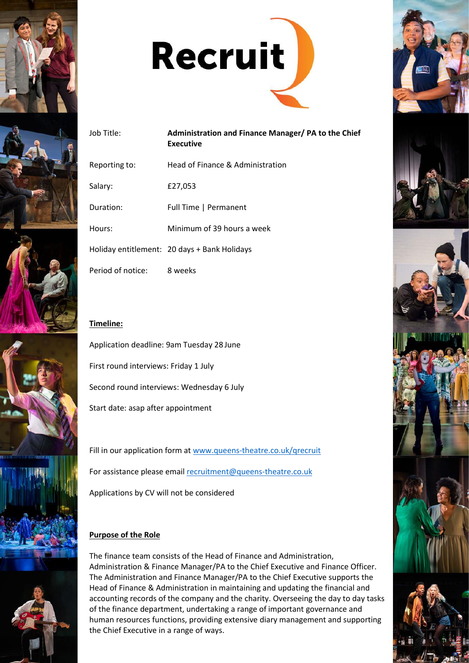











# Job Title: **Administration and Finance Manager/ PA to the Chief Executive** Reporting to: Head of Finance & Administration

Salary: £27,053

Duration: Full Time | Permanent

Hours: Minimum of 39 hours a week

Holiday entitlement: 20 days + Bank Holidays

Period of notice: 8 weeks

# **Timeline:**



Fill in our application form at [www.queens-theatre.co.uk/qrecruit](http://www.queens-theatre.co.uk/qrecruit) For assistance please email [recruitment@queens-theatre.co.uk](mailto:recruitment@queens-theatre.co.uk) Applications by CV will not be considered

# **Purpose of the Role**

The finance team consists of the Head of Finance and Administration, Administration & Finance Manager/PA to the Chief Executive and Finance Officer. The Administration and Finance Manager/PA to the Chief Executive supports the Head of Finance & Administration in maintaining and updating the financial and accounting records of the company and the charity. Overseeing the day to day tasks of the finance department, undertaking a range of important governance and human resources functions, providing extensive diary management and supporting the Chief Executive in a range of ways.





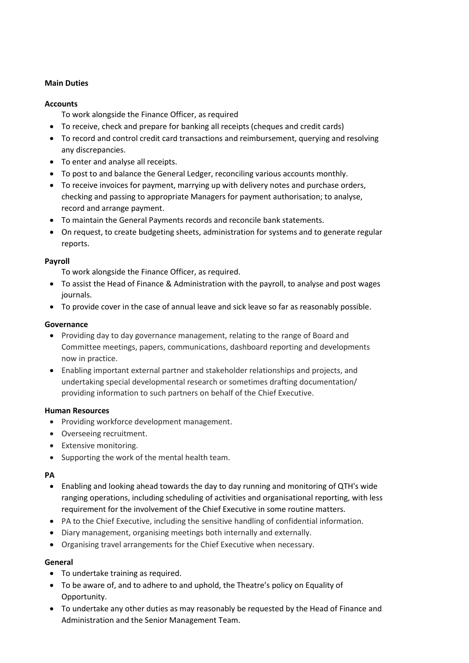#### **Main Duties**

#### **Accounts**

To work alongside the Finance Officer, as required

- To receive, check and prepare for banking all receipts (cheques and credit cards)
- To record and control credit card transactions and reimbursement, querying and resolving any discrepancies.
- To enter and analyse all receipts.
- To post to and balance the General Ledger, reconciling various accounts monthly.
- To receive invoices for payment, marrying up with delivery notes and purchase orders, checking and passing to appropriate Managers for payment authorisation; to analyse, record and arrange payment.
- To maintain the General Payments records and reconcile bank statements.
- On request, to create budgeting sheets, administration for systems and to generate regular reports.

#### **Payroll**

To work alongside the Finance Officer, as required.

- To assist the Head of Finance & Administration with the payroll, to analyse and post wages journals.
- To provide cover in the case of annual leave and sick leave so far as reasonably possible.

#### **Governance**

- Providing day to day governance management, relating to the range of Board and Committee meetings, papers, communications, dashboard reporting and developments now in practice.
- Enabling important external partner and stakeholder relationships and projects, and undertaking special developmental research or sometimes drafting documentation/ providing information to such partners on behalf of the Chief Executive.

#### **Human Resources**

- Providing workforce development management.
- Overseeing recruitment.
- Extensive monitoring.
- Supporting the work of the mental health team.

## **PA**

- Enabling and looking ahead towards the day to day running and monitoring of QTH's wide ranging operations, including scheduling of activities and organisational reporting, with less requirement for the involvement of the Chief Executive in some routine matters.
- PA to the Chief Executive, including the sensitive handling of confidential information.
- Diary management, organising meetings both internally and externally.
- Organising travel arrangements for the Chief Executive when necessary.

## **General**

- To undertake training as required.
- To be aware of, and to adhere to and uphold, the Theatre's policy on Equality of Opportunity.
- To undertake any other duties as may reasonably be requested by the Head of Finance and Administration and the Senior Management Team.